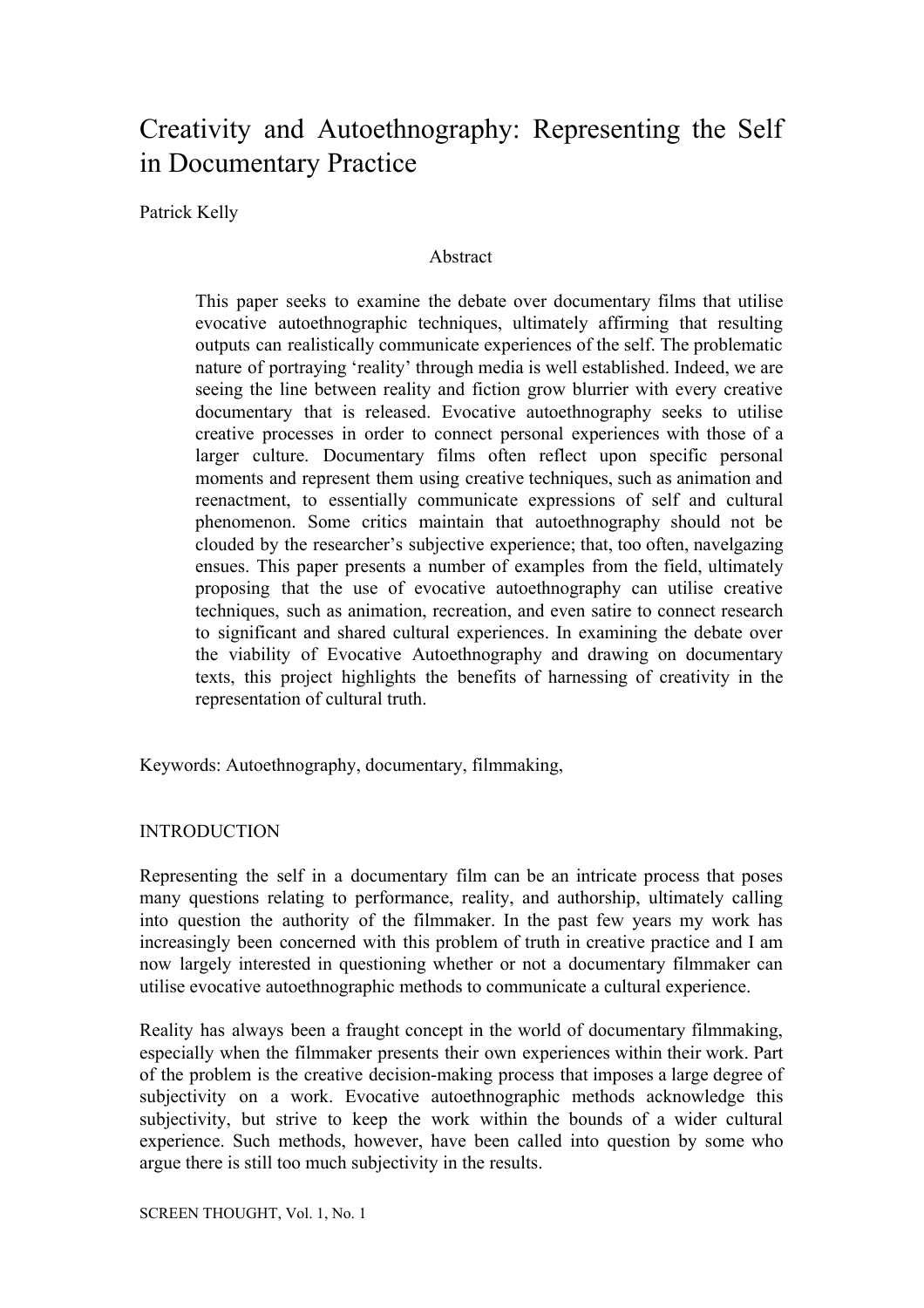# Creativity and Autoethnography: Representing the Self in Documentary Practice

Patrick Kelly

# Abstract

This paper seeks to examine the debate over documentary films that utilise evocative autoethnographic techniques, ultimately affirming that resulting outputs can realistically communicate experiences of the self. The problematic nature of portraying 'reality' through media is well established. Indeed, we are seeing the line between reality and fiction grow blurrier with every creative documentary that is released. Evocative autoethnography seeks to utilise creative processes in order to connect personal experiences with those of a larger culture. Documentary films often reflect upon specific personal moments and represent them using creative techniques, such as animation and reenactment, to essentially communicate expressions of self and cultural phenomenon. Some critics maintain that autoethnography should not be clouded by the researcher's subjective experience; that, too often, navelgazing ensues. This paper presents a number of examples from the field, ultimately proposing that the use of evocative autoethnography can utilise creative techniques, such as animation, recreation, and even satire to connect research to significant and shared cultural experiences. In examining the debate over the viability of Evocative Autoethnography and drawing on documentary texts, this project highlights the benefits of harnessing of creativity in the representation of cultural truth.

Keywords: Autoethnography, documentary, filmmaking,

# **INTRODUCTION**

Representing the self in a documentary film can be an intricate process that poses many questions relating to performance, reality, and authorship, ultimately calling into question the authority of the filmmaker. In the past few years my work has increasingly been concerned with this problem of truth in creative practice and I am now largely interested in questioning whether or not a documentary filmmaker can utilise evocative autoethnographic methods to communicate a cultural experience.

Reality has always been a fraught concept in the world of documentary filmmaking, especially when the filmmaker presents their own experiences within their work. Part of the problem is the creative decision-making process that imposes a large degree of subjectivity on a work. Evocative autoethnographic methods acknowledge this subjectivity, but strive to keep the work within the bounds of a wider cultural experience. Such methods, however, have been called into question by some who argue there is still too much subjectivity in the results.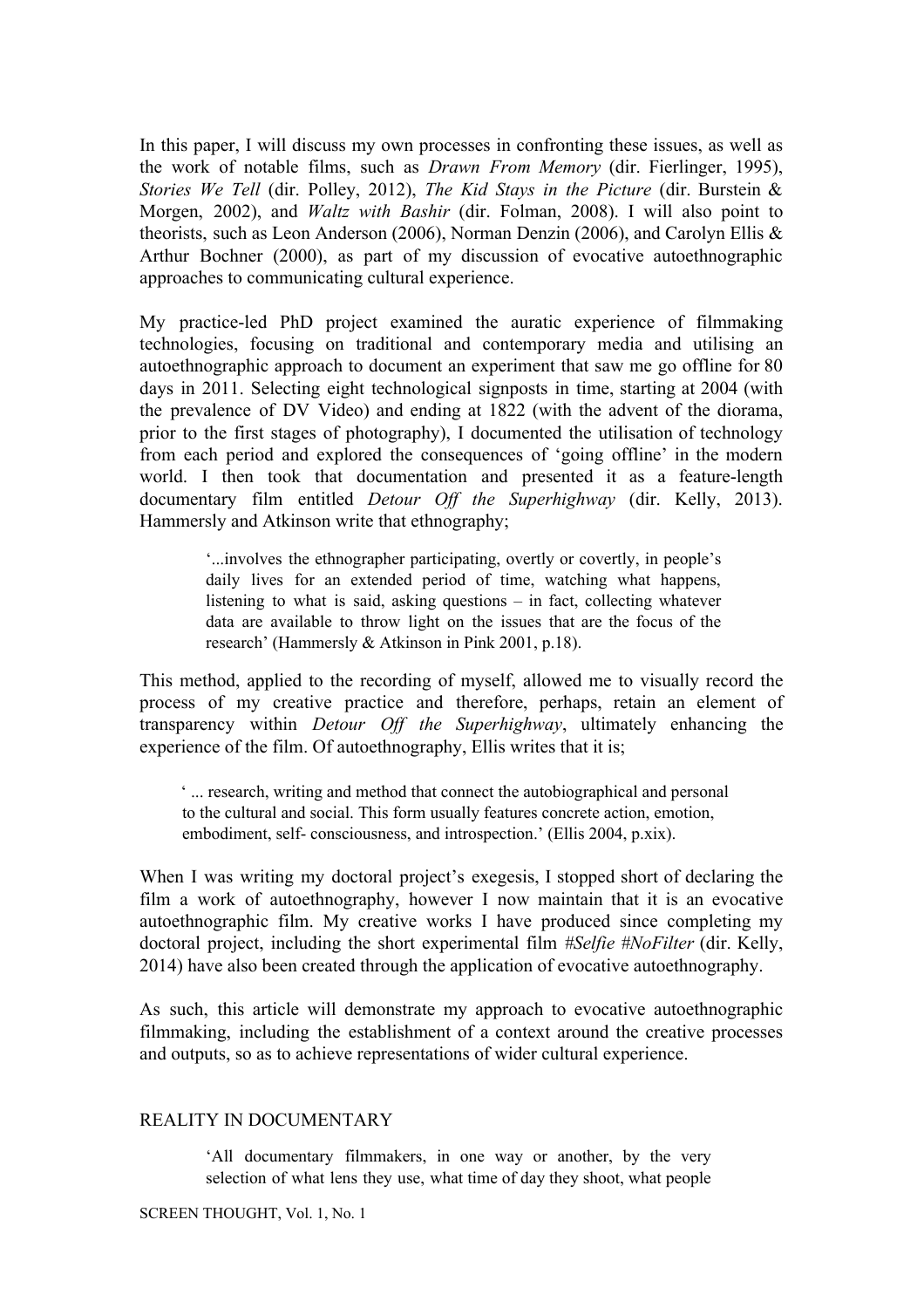In this paper, I will discuss my own processes in confronting these issues, as well as the work of notable films, such as *Drawn From Memory* (dir. Fierlinger, 1995), *Stories We Tell* (dir. Polley, 2012), *The Kid Stays in the Picture* (dir. Burstein & Morgen, 2002), and *Waltz with Bashir* (dir. Folman, 2008). I will also point to theorists, such as Leon Anderson (2006), Norman Denzin (2006), and Carolyn Ellis & Arthur Bochner (2000), as part of my discussion of evocative autoethnographic approaches to communicating cultural experience.

My practice-led PhD project examined the auratic experience of filmmaking technologies, focusing on traditional and contemporary media and utilising an autoethnographic approach to document an experiment that saw me go offline for 80 days in 2011. Selecting eight technological signposts in time, starting at 2004 (with the prevalence of DV Video) and ending at 1822 (with the advent of the diorama, prior to the first stages of photography), I documented the utilisation of technology from each period and explored the consequences of 'going offline' in the modern world. I then took that documentation and presented it as a feature-length documentary film entitled *Detour Off the Superhighway* (dir. Kelly, 2013). Hammersly and Atkinson write that ethnography;

> '...involves the ethnographer participating, overtly or covertly, in people's daily lives for an extended period of time, watching what happens, listening to what is said, asking questions – in fact, collecting whatever data are available to throw light on the issues that are the focus of the research' (Hammersly & Atkinson in Pink 2001, p.18).

This method, applied to the recording of myself, allowed me to visually record the process of my creative practice and therefore, perhaps, retain an element of transparency within *Detour Off the Superhighway*, ultimately enhancing the experience of the film. Of autoethnography, Ellis writes that it is;

 ' ... research, writing and method that connect the autobiographical and personal to the cultural and social. This form usually features concrete action, emotion, embodiment, self- consciousness, and introspection.' (Ellis 2004, p.xix).

When I was writing my doctoral project's exegesis, I stopped short of declaring the film a work of autoethnography, however I now maintain that it is an evocative autoethnographic film. My creative works I have produced since completing my doctoral project, including the short experimental film *#Selfie #NoFilter* (dir. Kelly, 2014) have also been created through the application of evocative autoethnography.

As such, this article will demonstrate my approach to evocative autoethnographic filmmaking, including the establishment of a context around the creative processes and outputs, so as to achieve representations of wider cultural experience.

# REALITY IN DOCUMENTARY

'All documentary filmmakers, in one way or another, by the very selection of what lens they use, what time of day they shoot, what people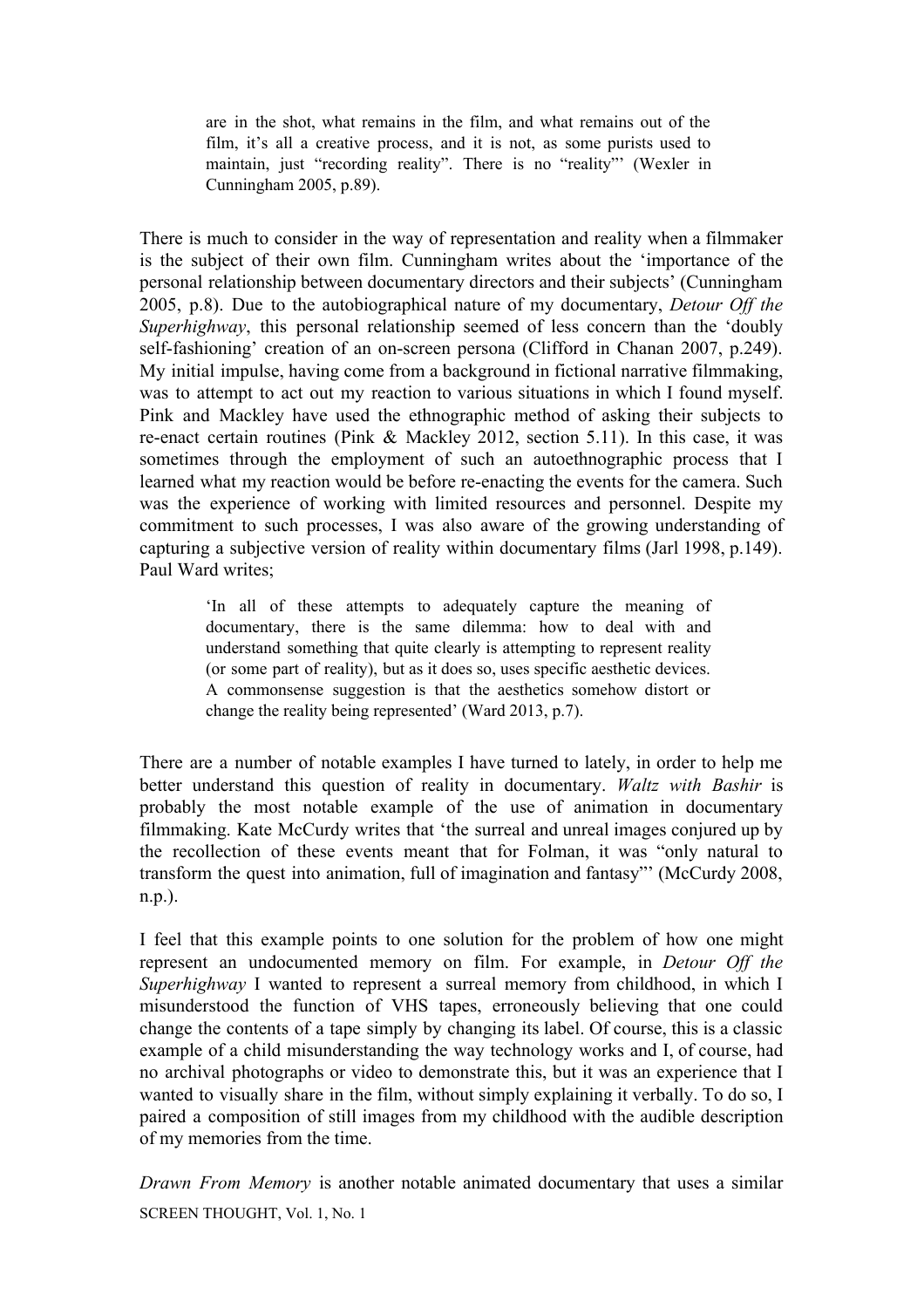are in the shot, what remains in the film, and what remains out of the film, it's all a creative process, and it is not, as some purists used to maintain, just "recording reality". There is no "reality"' (Wexler in Cunningham 2005, p.89).

There is much to consider in the way of representation and reality when a filmmaker is the subject of their own film. Cunningham writes about the 'importance of the personal relationship between documentary directors and their subjects' (Cunningham 2005, p.8). Due to the autobiographical nature of my documentary, *Detour Off the Superhighway*, this personal relationship seemed of less concern than the 'doubly self-fashioning' creation of an on-screen persona (Clifford in Chanan 2007, p.249). My initial impulse, having come from a background in fictional narrative filmmaking, was to attempt to act out my reaction to various situations in which I found myself. Pink and Mackley have used the ethnographic method of asking their subjects to re-enact certain routines (Pink & Mackley 2012, section 5.11). In this case, it was sometimes through the employment of such an autoethnographic process that I learned what my reaction would be before re-enacting the events for the camera. Such was the experience of working with limited resources and personnel. Despite my commitment to such processes, I was also aware of the growing understanding of capturing a subjective version of reality within documentary films (Jarl 1998, p.149). Paul Ward writes;

> 'In all of these attempts to adequately capture the meaning of documentary, there is the same dilemma: how to deal with and understand something that quite clearly is attempting to represent reality (or some part of reality), but as it does so, uses specific aesthetic devices. A commonsense suggestion is that the aesthetics somehow distort or change the reality being represented' (Ward 2013, p.7).

There are a number of notable examples I have turned to lately, in order to help me better understand this question of reality in documentary. *Waltz with Bashir* is probably the most notable example of the use of animation in documentary filmmaking. Kate McCurdy writes that 'the surreal and unreal images conjured up by the recollection of these events meant that for Folman, it was "only natural to transform the quest into animation, full of imagination and fantasy"' (McCurdy 2008, n.p.).

I feel that this example points to one solution for the problem of how one might represent an undocumented memory on film. For example, in *Detour Off the Superhighway* I wanted to represent a surreal memory from childhood, in which I misunderstood the function of VHS tapes, erroneously believing that one could change the contents of a tape simply by changing its label. Of course, this is a classic example of a child misunderstanding the way technology works and I, of course, had no archival photographs or video to demonstrate this, but it was an experience that I wanted to visually share in the film, without simply explaining it verbally. To do so, I paired a composition of still images from my childhood with the audible description of my memories from the time.

*Drawn From Memory* is another notable animated documentary that uses a similar SCREEN THOUGHT, Vol. 1, No. 1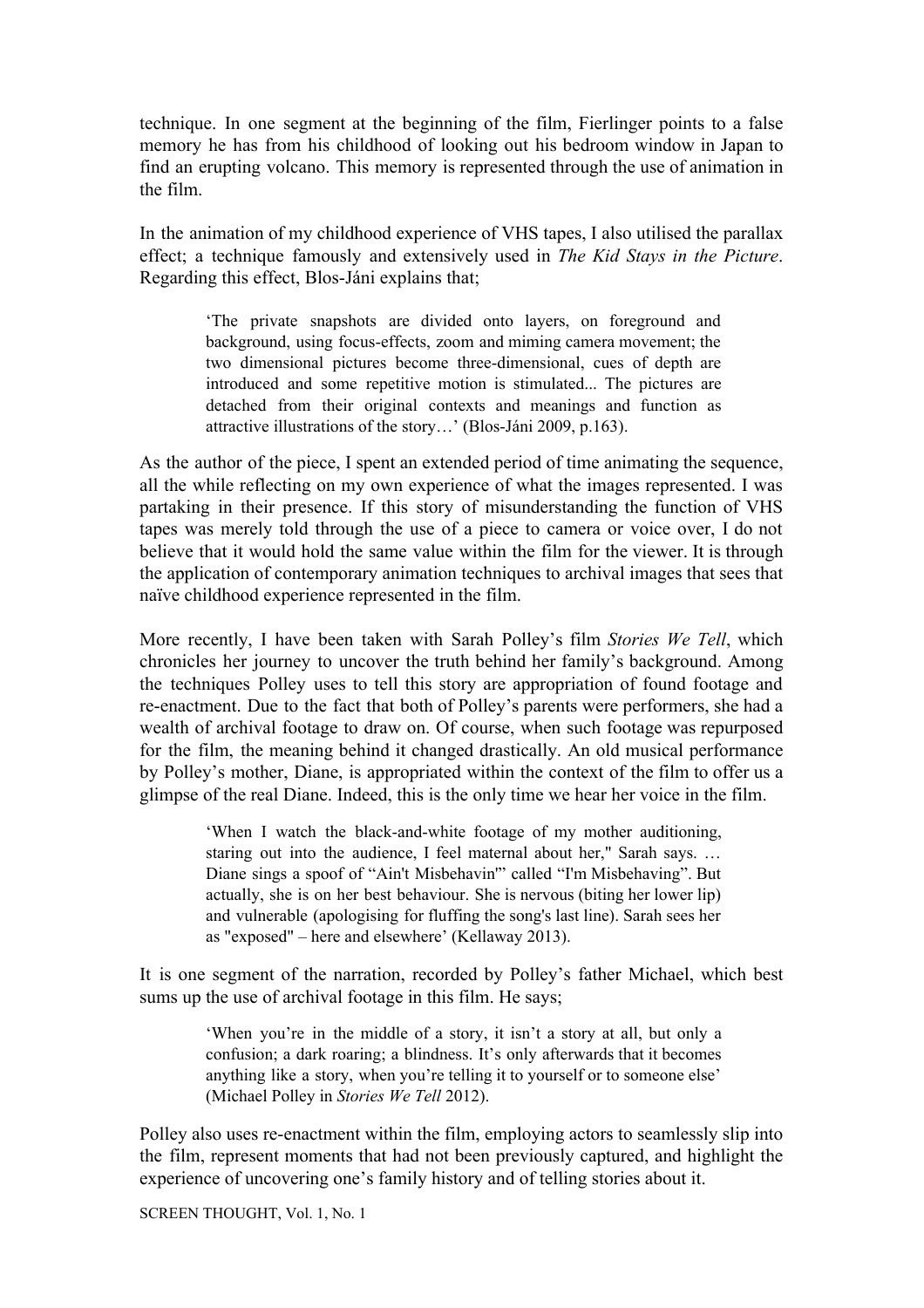technique. In one segment at the beginning of the film, Fierlinger points to a false memory he has from his childhood of looking out his bedroom window in Japan to find an erupting volcano. This memory is represented through the use of animation in the film.

In the animation of my childhood experience of VHS tapes, I also utilised the parallax effect; a technique famously and extensively used in *The Kid Stays in the Picture*. Regarding this effect, Blos-Jáni explains that;

> 'The private snapshots are divided onto layers, on foreground and background, using focus-effects, zoom and miming camera movement; the two dimensional pictures become three-dimensional, cues of depth are introduced and some repetitive motion is stimulated... The pictures are detached from their original contexts and meanings and function as attractive illustrations of the story…' (Blos-Jáni 2009, p.163).

As the author of the piece, I spent an extended period of time animating the sequence, all the while reflecting on my own experience of what the images represented. I was partaking in their presence. If this story of misunderstanding the function of VHS tapes was merely told through the use of a piece to camera or voice over, I do not believe that it would hold the same value within the film for the viewer. It is through the application of contemporary animation techniques to archival images that sees that naïve childhood experience represented in the film.

More recently, I have been taken with Sarah Polley's film *Stories We Tell*, which chronicles her journey to uncover the truth behind her family's background. Among the techniques Polley uses to tell this story are appropriation of found footage and re-enactment. Due to the fact that both of Polley's parents were performers, she had a wealth of archival footage to draw on. Of course, when such footage was repurposed for the film, the meaning behind it changed drastically. An old musical performance by Polley's mother, Diane, is appropriated within the context of the film to offer us a glimpse of the real Diane. Indeed, this is the only time we hear her voice in the film.

> 'When I watch the black-and-white footage of my mother auditioning, staring out into the audience, I feel maternal about her," Sarah says. … Diane sings a spoof of "Ain't Misbehavin'" called "I'm Misbehaving". But actually, she is on her best behaviour. She is nervous (biting her lower lip) and vulnerable (apologising for fluffing the song's last line). Sarah sees her as "exposed" – here and elsewhere' (Kellaway 2013).

It is one segment of the narration, recorded by Polley's father Michael, which best sums up the use of archival footage in this film. He says;

> 'When you're in the middle of a story, it isn't a story at all, but only a confusion; a dark roaring; a blindness. It's only afterwards that it becomes anything like a story, when you're telling it to yourself or to someone else' (Michael Polley in *Stories We Tell* 2012).

Polley also uses re-enactment within the film, employing actors to seamlessly slip into the film, represent moments that had not been previously captured, and highlight the experience of uncovering one's family history and of telling stories about it.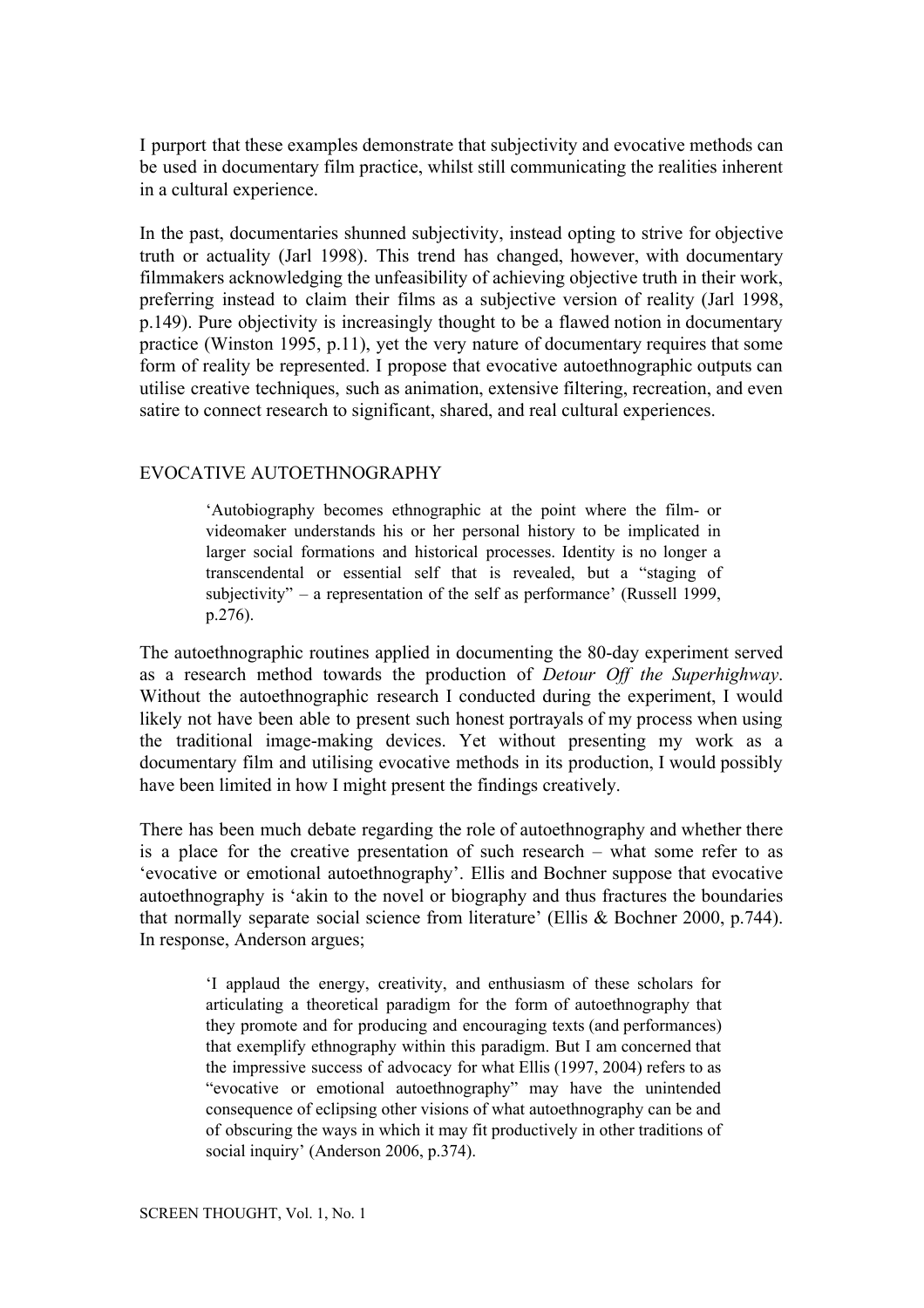I purport that these examples demonstrate that subjectivity and evocative methods can be used in documentary film practice, whilst still communicating the realities inherent in a cultural experience.

In the past, documentaries shunned subjectivity, instead opting to strive for objective truth or actuality (Jarl 1998). This trend has changed, however, with documentary filmmakers acknowledging the unfeasibility of achieving objective truth in their work, preferring instead to claim their films as a subjective version of reality (Jarl 1998, p.149). Pure objectivity is increasingly thought to be a flawed notion in documentary practice (Winston 1995, p.11), yet the very nature of documentary requires that some form of reality be represented. I propose that evocative autoethnographic outputs can utilise creative techniques, such as animation, extensive filtering, recreation, and even satire to connect research to significant, shared, and real cultural experiences.

#### EVOCATIVE AUTOETHNOGRAPHY

'Autobiography becomes ethnographic at the point where the film- or videomaker understands his or her personal history to be implicated in larger social formations and historical processes. Identity is no longer a transcendental or essential self that is revealed, but a "staging of subjectivity" – a representation of the self as performance' (Russell 1999, p.276).

The autoethnographic routines applied in documenting the 80-day experiment served as a research method towards the production of *Detour Off the Superhighway*. Without the autoethnographic research I conducted during the experiment, I would likely not have been able to present such honest portrayals of my process when using the traditional image-making devices. Yet without presenting my work as a documentary film and utilising evocative methods in its production, I would possibly have been limited in how I might present the findings creatively.

There has been much debate regarding the role of autoethnography and whether there is a place for the creative presentation of such research – what some refer to as 'evocative or emotional autoethnography'. Ellis and Bochner suppose that evocative autoethnography is 'akin to the novel or biography and thus fractures the boundaries that normally separate social science from literature' (Ellis & Bochner 2000, p.744). In response, Anderson argues;

> 'I applaud the energy, creativity, and enthusiasm of these scholars for articulating a theoretical paradigm for the form of autoethnography that they promote and for producing and encouraging texts (and performances) that exemplify ethnography within this paradigm. But I am concerned that the impressive success of advocacy for what Ellis (1997, 2004) refers to as "evocative or emotional autoethnography" may have the unintended consequence of eclipsing other visions of what autoethnography can be and of obscuring the ways in which it may fit productively in other traditions of social inquiry' (Anderson 2006, p.374).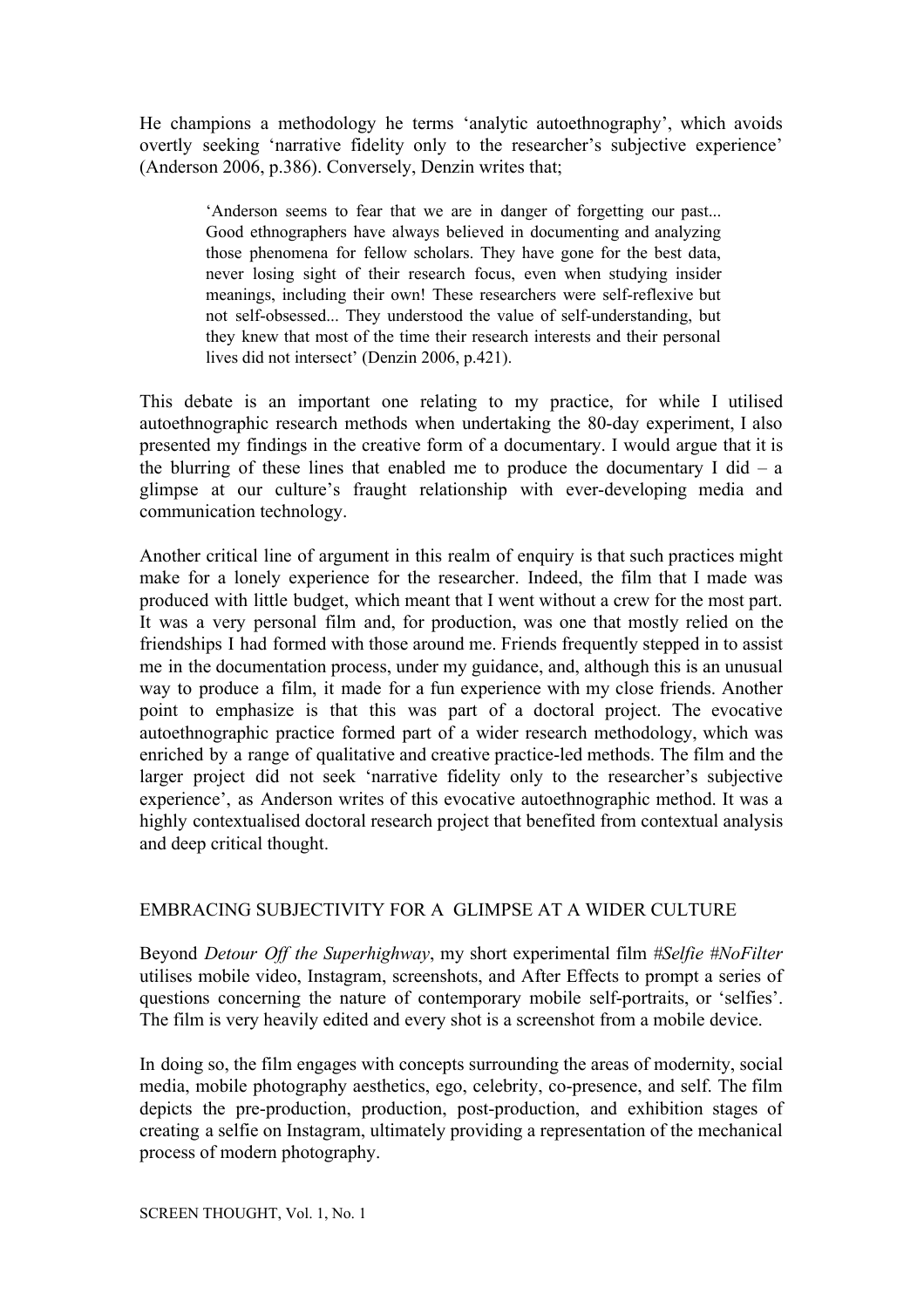He champions a methodology he terms 'analytic autoethnography', which avoids overtly seeking 'narrative fidelity only to the researcher's subjective experience' (Anderson 2006, p.386). Conversely, Denzin writes that;

> 'Anderson seems to fear that we are in danger of forgetting our past... Good ethnographers have always believed in documenting and analyzing those phenomena for fellow scholars. They have gone for the best data, never losing sight of their research focus, even when studying insider meanings, including their own! These researchers were self-reflexive but not self-obsessed... They understood the value of self-understanding, but they knew that most of the time their research interests and their personal lives did not intersect' (Denzin 2006, p.421).

This debate is an important one relating to my practice, for while I utilised autoethnographic research methods when undertaking the 80-day experiment, I also presented my findings in the creative form of a documentary. I would argue that it is the blurring of these lines that enabled me to produce the documentary I did  $-$  a glimpse at our culture's fraught relationship with ever-developing media and communication technology.

Another critical line of argument in this realm of enquiry is that such practices might make for a lonely experience for the researcher. Indeed, the film that I made was produced with little budget, which meant that I went without a crew for the most part. It was a very personal film and, for production, was one that mostly relied on the friendships I had formed with those around me. Friends frequently stepped in to assist me in the documentation process, under my guidance, and, although this is an unusual way to produce a film, it made for a fun experience with my close friends. Another point to emphasize is that this was part of a doctoral project. The evocative autoethnographic practice formed part of a wider research methodology, which was enriched by a range of qualitative and creative practice-led methods. The film and the larger project did not seek 'narrative fidelity only to the researcher's subjective experience', as Anderson writes of this evocative autoethnographic method. It was a highly contextualised doctoral research project that benefited from contextual analysis and deep critical thought.

# EMBRACING SUBJECTIVITY FOR A GLIMPSE AT A WIDER CULTURE

Beyond *Detour Off the Superhighway*, my short experimental film *#Selfie #NoFilter* utilises mobile video, Instagram, screenshots, and After Effects to prompt a series of questions concerning the nature of contemporary mobile self-portraits, or 'selfies'. The film is very heavily edited and every shot is a screenshot from a mobile device.

In doing so, the film engages with concepts surrounding the areas of modernity, social media, mobile photography aesthetics, ego, celebrity, co-presence, and self. The film depicts the pre-production, production, post-production, and exhibition stages of creating a selfie on Instagram, ultimately providing a representation of the mechanical process of modern photography.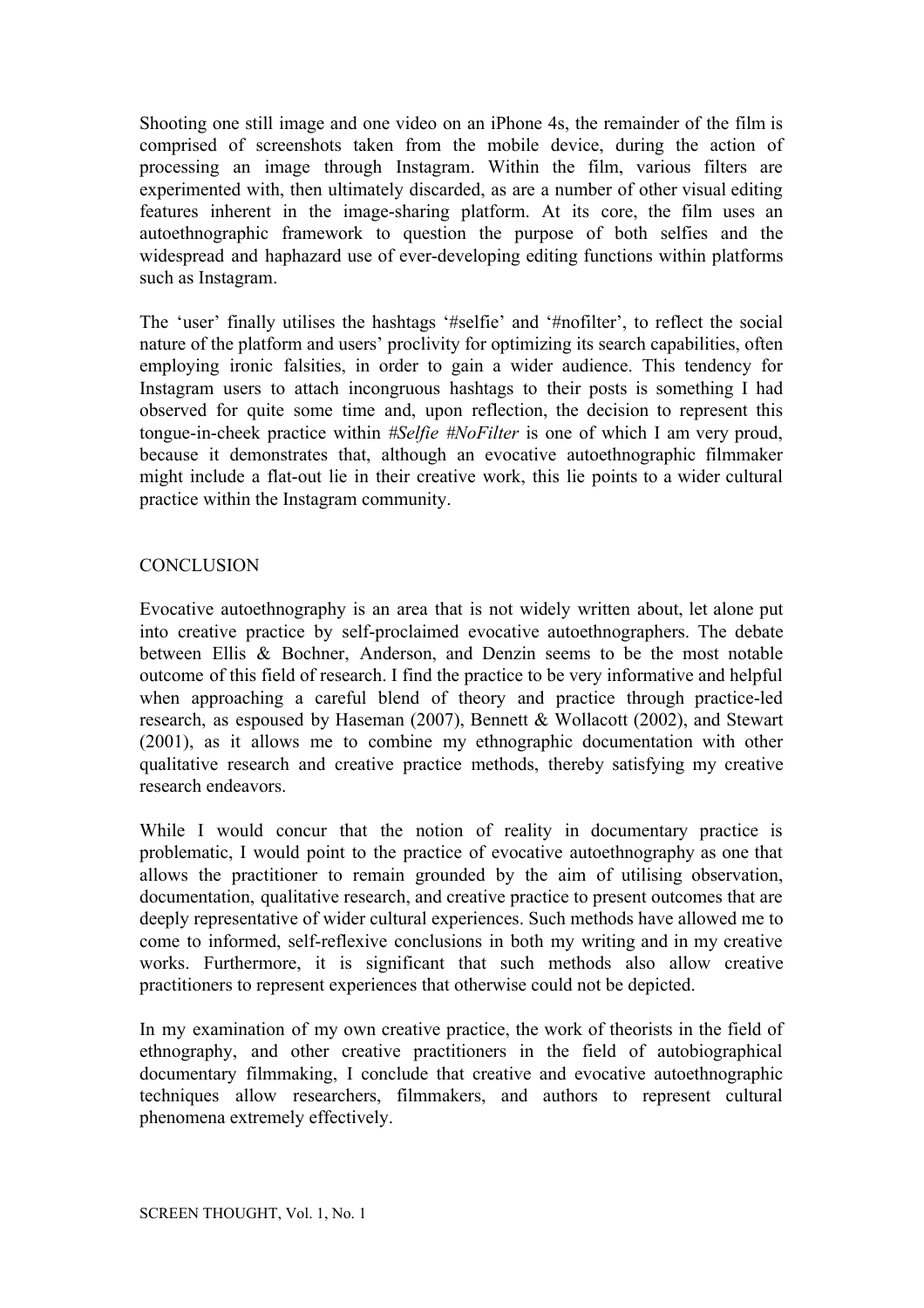Shooting one still image and one video on an iPhone 4s, the remainder of the film is comprised of screenshots taken from the mobile device, during the action of processing an image through Instagram. Within the film, various filters are experimented with, then ultimately discarded, as are a number of other visual editing features inherent in the image-sharing platform. At its core, the film uses an autoethnographic framework to question the purpose of both selfies and the widespread and haphazard use of ever-developing editing functions within platforms such as Instagram.

The 'user' finally utilises the hashtags '#selfie' and '#nofilter', to reflect the social nature of the platform and users' proclivity for optimizing its search capabilities, often employing ironic falsities, in order to gain a wider audience. This tendency for Instagram users to attach incongruous hashtags to their posts is something I had observed for quite some time and, upon reflection, the decision to represent this tongue-in-cheek practice within *#Selfie #NoFilter* is one of which I am very proud, because it demonstrates that, although an evocative autoethnographic filmmaker might include a flat-out lie in their creative work, this lie points to a wider cultural practice within the Instagram community.

# **CONCLUSION**

Evocative autoethnography is an area that is not widely written about, let alone put into creative practice by self-proclaimed evocative autoethnographers. The debate between Ellis & Bochner, Anderson, and Denzin seems to be the most notable outcome of this field of research. I find the practice to be very informative and helpful when approaching a careful blend of theory and practice through practice-led research, as espoused by Haseman (2007), Bennett & Wollacott (2002), and Stewart (2001), as it allows me to combine my ethnographic documentation with other qualitative research and creative practice methods, thereby satisfying my creative research endeavors.

While I would concur that the notion of reality in documentary practice is problematic, I would point to the practice of evocative autoethnography as one that allows the practitioner to remain grounded by the aim of utilising observation, documentation, qualitative research, and creative practice to present outcomes that are deeply representative of wider cultural experiences. Such methods have allowed me to come to informed, self-reflexive conclusions in both my writing and in my creative works. Furthermore, it is significant that such methods also allow creative practitioners to represent experiences that otherwise could not be depicted.

In my examination of my own creative practice, the work of theorists in the field of ethnography, and other creative practitioners in the field of autobiographical documentary filmmaking, I conclude that creative and evocative autoethnographic techniques allow researchers, filmmakers, and authors to represent cultural phenomena extremely effectively.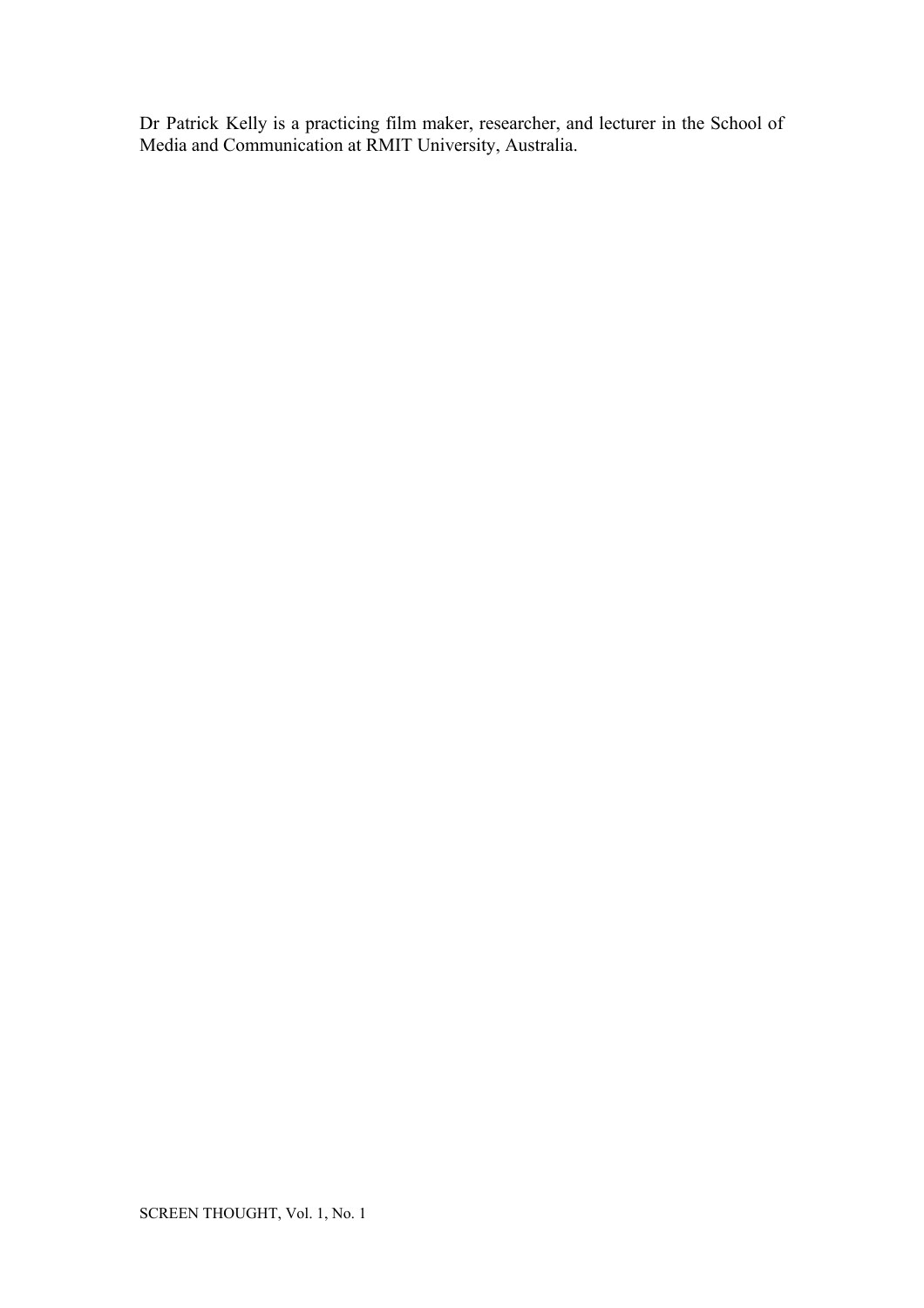Dr Patrick Kelly is a practicing film maker, researcher, and lecturer in the School of Media and Communication at RMIT University, Australia.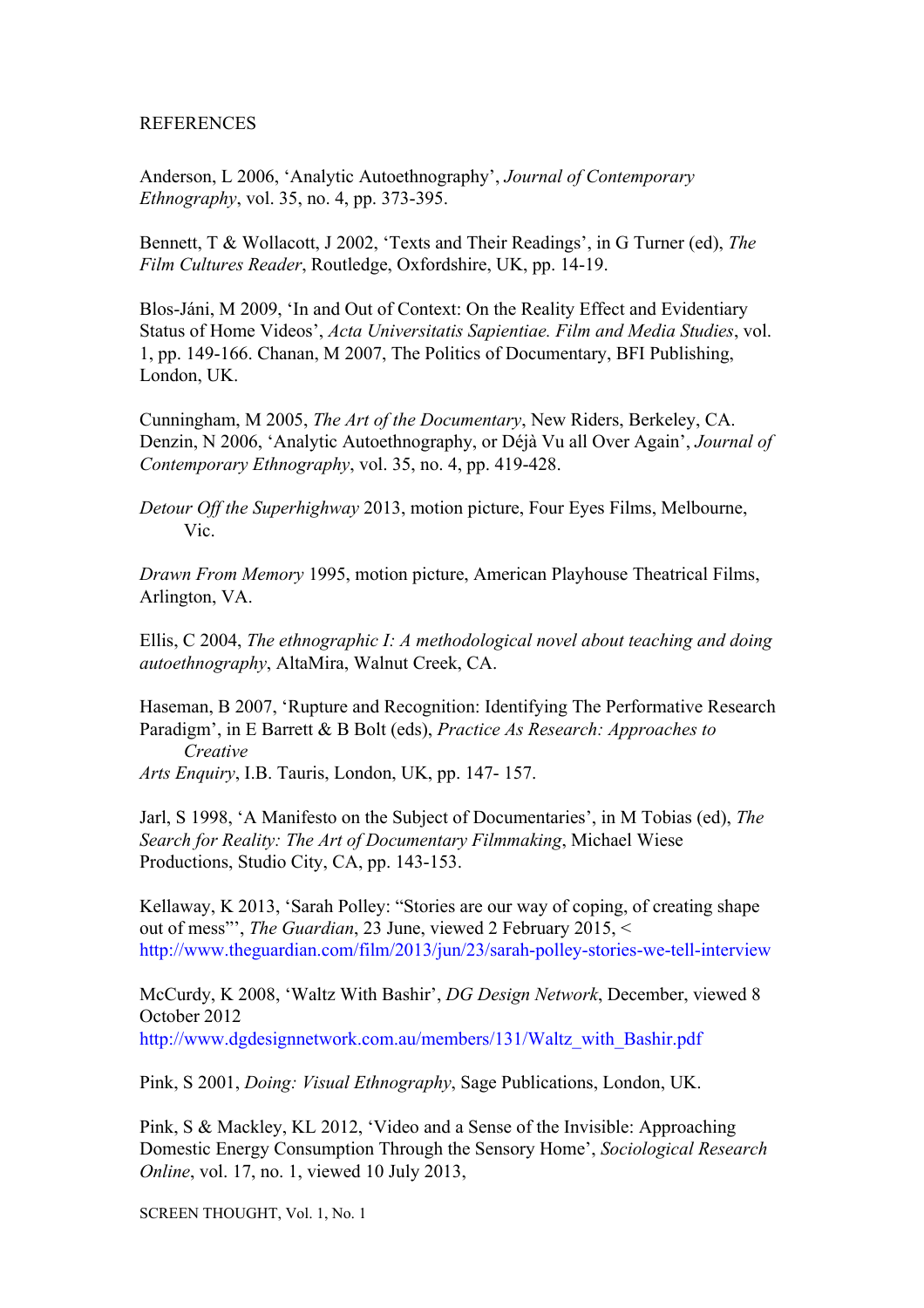# REFERENCES

Anderson, L 2006, 'Analytic Autoethnography', *Journal of Contemporary Ethnography*, vol. 35, no. 4, pp. 373-395.

Bennett, T & Wollacott, J 2002, 'Texts and Their Readings', in G Turner (ed), *The Film Cultures Reader*, Routledge, Oxfordshire, UK, pp. 14-19.

Blos-Jáni, M 2009, 'In and Out of Context: On the Reality Effect and Evidentiary Status of Home Videos', *Acta Universitatis Sapientiae. Film and Media Studies*, vol. 1, pp. 149-166. Chanan, M 2007, The Politics of Documentary, BFI Publishing, London, UK.

Cunningham, M 2005, *The Art of the Documentary*, New Riders, Berkeley, CA. Denzin, N 2006, 'Analytic Autoethnography, or Déjà Vu all Over Again', *Journal of Contemporary Ethnography*, vol. 35, no. 4, pp. 419-428.

*Detour Off the Superhighway* 2013, motion picture, Four Eyes Films, Melbourne, Vic.

*Drawn From Memory* 1995, motion picture, American Playhouse Theatrical Films, Arlington, VA.

Ellis, C 2004, *The ethnographic I: A methodological novel about teaching and doing autoethnography*, AltaMira, Walnut Creek, CA.

Haseman, B 2007, 'Rupture and Recognition: Identifying The Performative Research Paradigm', in E Barrett & B Bolt (eds), *Practice As Research: Approaches to Creative*

*Arts Enquiry*, I.B. Tauris, London, UK, pp. 147- 157.

Jarl, S 1998, 'A Manifesto on the Subject of Documentaries', in M Tobias (ed), *The Search for Reality: The Art of Documentary Filmmaking*, Michael Wiese Productions, Studio City, CA, pp. 143-153.

Kellaway, K 2013, 'Sarah Polley: "Stories are our way of coping, of creating shape out of mess"', *The Guardian*, 23 June, viewed 2 February 2015, < <http://www.theguardian.com/film/2013/jun/23/sarah-polley-stories-we-tell-interview>

McCurdy, K 2008, 'Waltz With Bashir', *DG Design Network*, December, viewed 8 October 2012 [http://www.dgdesignnetwork.com.au/members/131/Waltz\\_with\\_Bashir.pdf](http://www.dgdesignnetwork.com.au/members/131/Waltz_with_Bashir.pd%20f)

Pink, S 2001, *Doing: Visual Ethnography*, Sage Publications, London, UK.

Pink, S & Mackley, KL 2012, 'Video and a Sense of the Invisible: Approaching Domestic Energy Consumption Through the Sensory Home', *Sociological Research Online*, vol. 17, no. 1, viewed 10 July 2013,

SCREEN THOUGHT, Vol. 1, No. 1